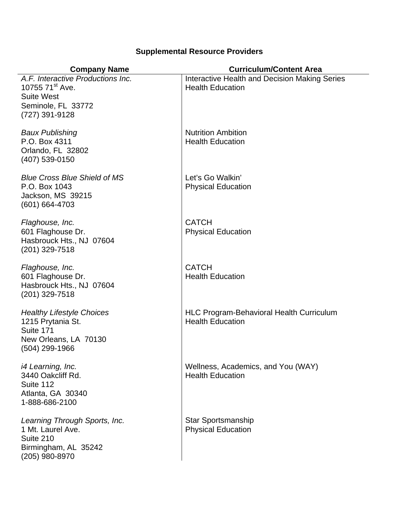## **Supplemental Resource Providers**

 $\overline{\phantom{0}}$ 

| <b>Company Name</b>                                                                                                           | <b>Curriculum/Content Area</b>                                             |
|-------------------------------------------------------------------------------------------------------------------------------|----------------------------------------------------------------------------|
| A.F. Interactive Productions Inc.<br>10755 71 <sup>st</sup> Ave.<br><b>Suite West</b><br>Seminole, FL 33772<br>(727) 391-9128 | Interactive Health and Decision Making Series<br><b>Health Education</b>   |
| <b>Baux Publishing</b><br>P.O. Box 4311<br>Orlando, FL 32802<br>(407) 539-0150                                                | <b>Nutrition Ambition</b><br><b>Health Education</b>                       |
| <b>Blue Cross Blue Shield of MS</b><br>P.O. Box 1043<br>Jackson, MS 39215<br>$(601) 664 - 4703$                               | Let's Go Walkin'<br><b>Physical Education</b>                              |
| Flaghouse, Inc.<br>601 Flaghouse Dr.<br>Hasbrouck Hts., NJ 07604<br>(201) 329-7518                                            | <b>CATCH</b><br><b>Physical Education</b>                                  |
| Flaghouse, Inc.<br>601 Flaghouse Dr.<br>Hasbrouck Hts., NJ 07604<br>$(201)$ 329-7518                                          | <b>CATCH</b><br><b>Health Education</b>                                    |
| <b>Healthy Lifestyle Choices</b><br>1215 Prytania St.<br>Suite 171<br>New Orleans, LA 70130<br>$(504)$ 299-1966               | <b>HLC Program-Behavioral Health Curriculum</b><br><b>Health Education</b> |
| i4 Learning, Inc.<br>3440 Oakcliff Rd.<br>Suite 112<br>Atlanta, GA 30340<br>1-888-686-2100                                    | Wellness, Academics, and You (WAY)<br><b>Health Education</b>              |
| Learning Through Sports, Inc.<br>1 Mt. Laurel Ave.<br>Suite 210<br>Birmingham, AL 35242<br>(205) 980-8970                     | <b>Star Sportsmanship</b><br><b>Physical Education</b>                     |
|                                                                                                                               |                                                                            |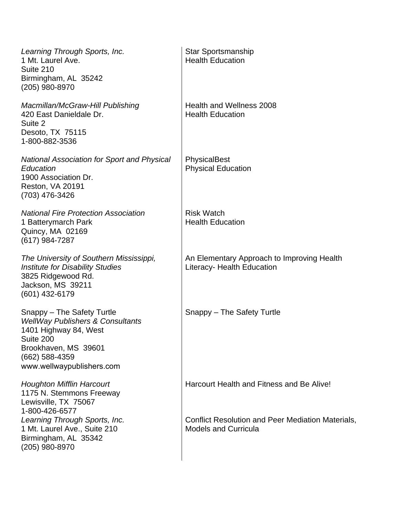| Learning Through Sports, Inc.<br>1 Mt. Laurel Ave.<br>Suite 210<br>Birmingham, AL 35242<br>(205) 980-8970                                                                              | <b>Star Sportsmanship</b><br><b>Health Education</b>                                    |
|----------------------------------------------------------------------------------------------------------------------------------------------------------------------------------------|-----------------------------------------------------------------------------------------|
| Macmillan/McGraw-Hill Publishing<br>420 East Danieldale Dr.<br>Suite 2<br>Desoto, TX 75115<br>1-800-882-3536                                                                           | Health and Wellness 2008<br><b>Health Education</b>                                     |
| <b>National Association for Sport and Physical</b><br>Education<br>1900 Association Dr.<br><b>Reston, VA 20191</b><br>(703) 476-3426                                                   | PhysicalBest<br><b>Physical Education</b>                                               |
| <b>National Fire Protection Association</b><br>1 Batterymarch Park<br>Quincy, MA 02169<br>(617) 984-7287                                                                               | <b>Risk Watch</b><br><b>Health Education</b>                                            |
| The University of Southern Mississippi,<br><b>Institute for Disability Studies</b><br>3825 Ridgewood Rd.<br>Jackson, MS 39211<br>(601) 432-6179                                        | An Elementary Approach to Improving Health<br><b>Literacy- Health Education</b>         |
| Snappy - The Safety Turtle<br><b>WellWay Publishers &amp; Consultants</b><br>1401 Highway 84, West<br>Suite 200<br>Brookhaven, MS 39601<br>(662) 588-4359<br>www.wellwaypublishers.com | Snappy – The Safety Turtle                                                              |
| <b>Houghton Mifflin Harcourt</b><br>1175 N. Stemmons Freeway<br>Lewisville, TX 75067<br>1-800-426-6577                                                                                 | Harcourt Health and Fitness and Be Alive!                                               |
| Learning Through Sports, Inc.<br>1 Mt. Laurel Ave., Suite 210<br>Birmingham, AL 35342<br>(205) 980-8970                                                                                | <b>Conflict Resolution and Peer Mediation Materials,</b><br><b>Models and Curricula</b> |